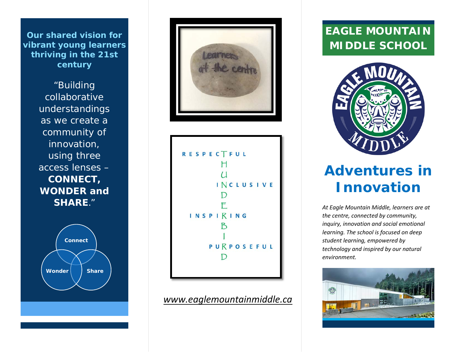**Our shared vision for vibrant young learners thriving in the 21st century**

> "Building collaborative understandings as we create a community of innovation, using three access lenses – **CONNECT, WONDER and SHARE**."







### *[www.eaglemountainmiddle.ca](http://www.eaglemountainmiddle.ca/)*

## **EAGLE MOUNTAIN MIDDLE SCHOOL**



# **Adventures in Innovation**

*At Eagle Mountain Middle, learners are at the centre, connected by community, inquiry, innovation and social emotional learning. The school is focused on deep student learning, empowered by technology and inspired by our natural environment.*